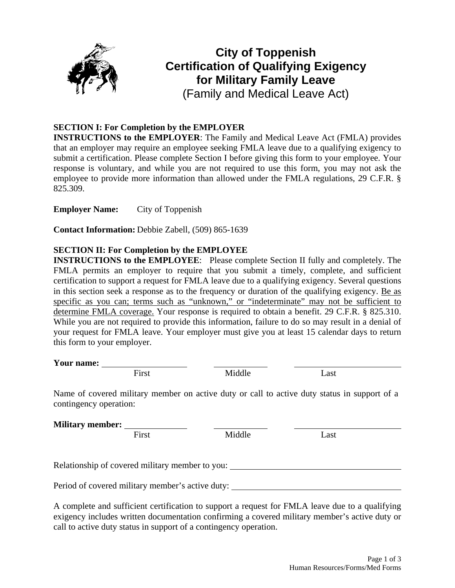

# **City of Toppenish Certification of Qualifying Exigency for Military Family Leave**  (Family and Medical Leave Act)

# **SECTION I: For Completion by the EMPLOYER**

**INSTRUCTIONS to the EMPLOYER**: The Family and Medical Leave Act (FMLA) provides that an employer may require an employee seeking FMLA leave due to a qualifying exigency to submit a certification. Please complete Section I before giving this form to your employee. Your response is voluntary, and while you are not required to use this form, you may not ask the employee to provide more information than allowed under the FMLA regulations, 29 C.F.R. § 825.309.

**Employer Name:** City of Toppenish

**Contact Information:** Debbie Zabell, (509) 865-1639

## **SECTION II: For Completion by the EMPLOYEE**

**INSTRUCTIONS to the EMPLOYEE:** Please complete Section II fully and completely. The FMLA permits an employer to require that you submit a timely, complete, and sufficient certification to support a request for FMLA leave due to a qualifying exigency. Several questions in this section seek a response as to the frequency or duration of the qualifying exigency. Be as specific as you can; terms such as "unknown," or "indeterminate" may not be sufficient to determine FMLA coverage. Your response is required to obtain a benefit. 29 C.F.R. § 825.310. While you are not required to provide this information, failure to do so may result in a denial of your request for FMLA leave. Your employer must give you at least 15 calendar days to return this form to your employer.

| Your name: |       |        |      |
|------------|-------|--------|------|
|            | `irst | Middle | Last |

Name of covered military member on active duty or call to active duty status in support of a contingency operation:

| <b>Military member:</b>                         |        |      |  |
|-------------------------------------------------|--------|------|--|
| First                                           | Middle | Last |  |
|                                                 |        |      |  |
| Relationship of covered military member to you: |        |      |  |

Period of covered military member's active duty:

A complete and sufficient certification to support a request for FMLA leave due to a qualifying exigency includes written documentation confirming a covered military member's active duty or call to active duty status in support of a contingency operation.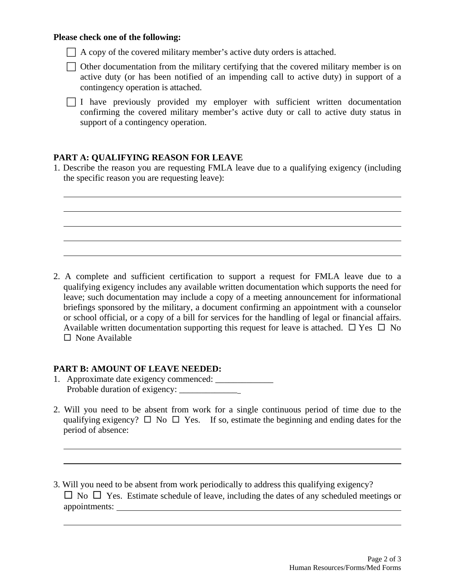#### **Please check one of the following:**

 $\overline{a}$  $\overline{a}$ 

 $\overline{a}$  $\overline{a}$ 

 $\overline{a}$ 

 $\Box$  A copy of the covered military member's active duty orders is attached.

 $\Box$  Other documentation from the military certifying that the covered military member is on active duty (or has been notified of an impending call to active duty) in support of a contingency operation is attached.

 $\Box$  I have previously provided my employer with sufficient written documentation confirming the covered military member's active duty or call to active duty status in support of a contingency operation.

## **PART A: QUALIFYING REASON FOR LEAVE**

1. Describe the reason you are requesting FMLA leave due to a qualifying exigency (including the specific reason you are requesting leave):

2. A complete and sufficient certification to support a request for FMLA leave due to a qualifying exigency includes any available written documentation which supports the need for leave; such documentation may include a copy of a meeting announcement for informational briefings sponsored by the military, a document confirming an appointment with a counselor or school official, or a copy of a bill for services for the handling of legal or financial affairs. Available written documentation supporting this request for leave is attached.  $\Box$  Yes  $\Box$  No  $\Box$  None Available

### **PART B: AMOUNT OF LEAVE NEEDED:**

- 1. Approximate date exigency commenced: \_\_\_\_\_\_\_\_\_\_\_\_\_ Probable duration of exigency:
- 2. Will you need to be absent from work for a single continuous period of time due to the qualifying exigency?  $\Box$  No  $\Box$  Yes. If so, estimate the beginning and ending dates for the period of absence:
- 3. Will you need to be absent from work periodically to address this qualifying exigency?  $\Box$  No  $\Box$  Yes. Estimate schedule of leave, including the dates of any scheduled meetings or appointments: